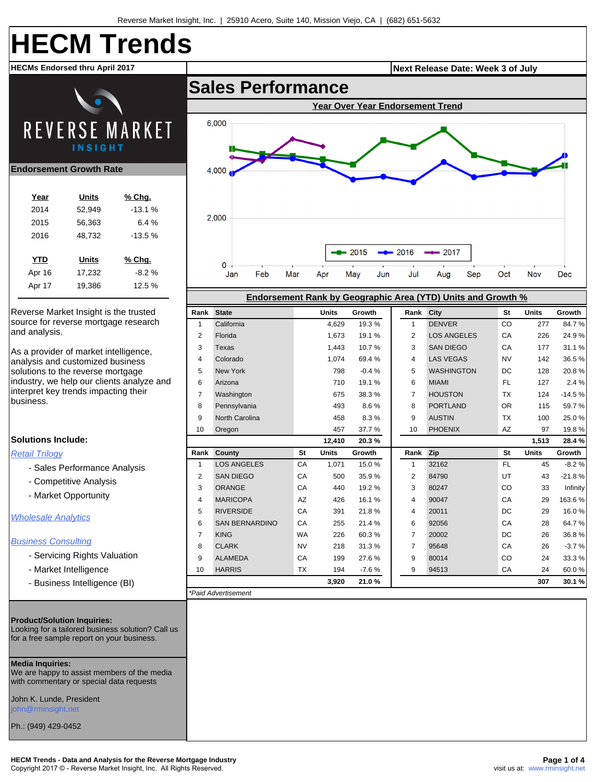# **HECM Trends**



# **Endorsement Growth Rate**

| Year   | Units  | <u>% Chq.</u> |
|--------|--------|---------------|
| 2014   | 52,949 | $-13.1%$      |
| 2015   | 56,363 | 6.4 $%$       |
| 2016   | 48,732 | $-13.5%$      |
| YTD    | Units  | % Chg.        |
| Apr 16 | 17,232 | $-8.2%$       |
| Apr 17 | 19,386 | 12.5%         |

Reverse Market Insight is the trusted source for reverse mortgage research and analysis.

As a provider of market intelligence, analysis and customized business solutions to the reverse mortgage industry, we help our clients analyze and interpret key trends impacting their business.

# **Solutions Include:**

[Retail Trilogy](http://www.rminsight.net/trilogy.php)

- Sales Performance Analysis
- Competitive Analysis
- Market Opportunity

## **[Wholesale Analytics](http://rminsight.net/wholesalereport.php)**

## [Business Consulting](http://www.rminsight.net/consulting.php)

- Servicing Rights Valuation

- Market Intelligence
- Business Intelligence (BI)

### **Product/Solution Inquiries:**

Looking for a tailored business solution? Call us for a free sample report on your business.

**Media Inquiries:**

We are happy to assist members of the media with commentary or special data requests

John K. Lunde, President john@rminsight.net

Ph.: (949) 429-0452

# **Sales Performance**





# **Endorsement Rank by Geographic Area (YTD) Units and Growth %**

| Rank           | <b>State</b>          |           | <b>Units</b> | Growth  | Rank           | City               | St        | <b>Units</b> | Growth   |
|----------------|-----------------------|-----------|--------------|---------|----------------|--------------------|-----------|--------------|----------|
| 1              | California            |           | 4,629        | 19.3%   | 1              | <b>DENVER</b>      | CO        | 277          | 84.7%    |
| $\overline{2}$ | Florida               |           | 1,673        | 19.1%   | $\overline{2}$ | <b>LOS ANGELES</b> | CA        | 226          | 24.9%    |
| 3              | Texas                 |           | 1,443        | 10.7%   | 3              | <b>SAN DIEGO</b>   | CA        | 177          | 31.1%    |
| 4              | Colorado              |           | 1,074        | 69.4%   | $\overline{4}$ | <b>LAS VEGAS</b>   | <b>NV</b> | 142          | 36.5%    |
| 5              | <b>New York</b>       |           | 798          | $-0.4%$ | 5              | <b>WASHINGTON</b>  | DC        | 128          | 20.8%    |
| 6              | Arizona               |           | 710          | 19.1%   | 6              | <b>MIAMI</b>       | FL.       | 127          | 2.4%     |
| $\overline{7}$ | Washington            |           | 675          | 38.3%   | $\overline{7}$ | <b>HOUSTON</b>     | <b>TX</b> | 124          | $-14.5%$ |
| 8              | Pennsylvania          |           | 493          | 8.6%    | 8              | <b>PORTLAND</b>    | <b>OR</b> | 115          | 59.7%    |
| 9              | North Carolina        |           | 458          | 8.3%    | 9              | <b>AUSTIN</b>      | <b>TX</b> | 100          | 25.0%    |
| 10             | Oregon                |           | 457          | 37.7%   | 10             | <b>PHOENIX</b>     | AZ        | 97           | 19.8%    |
|                |                       |           | 12,410       | 20.3%   |                |                    |           | 1,513        | 28.4%    |
| Rank           | County                | <b>St</b> | <b>Units</b> | Growth  | Rank           | Zip                | St        | <b>Units</b> | Growth   |
| $\mathbf{1}$   | <b>LOS ANGELES</b>    | CA        | 1,071        | 15.0%   | $\mathbf{1}$   | 32162              | FL.       | 45           | $-8.2%$  |
| $\overline{2}$ | <b>SAN DIEGO</b>      | CA        | 500          | 35.9%   | $\overline{2}$ | 84790              | UT        | 43           | $-21.8%$ |
| 3              | <b>ORANGE</b>         | CA        | 440          | 19.2%   | 3              | 80247              | CO        | 33           | Infinity |
| $\overline{4}$ | <b>MARICOPA</b>       | AZ        | 426          | 16.1%   | 4              | 90047              | CA        | 29           | 163.6%   |
| 5              | <b>RIVERSIDE</b>      | CA        | 391          | 21.8%   | 4              | 20011              | DC        | 29           | 16.0%    |
| 6              | <b>SAN BERNARDINO</b> | CA        | 255          | 21.4%   | 6              | 92056              | CA        | 28           | 64.7%    |
| $\overline{7}$ | <b>KING</b>           | <b>WA</b> | 226          | 60.3%   | $\overline{7}$ | 20002              | DC        | 26           | 36.8%    |
| 8              | <b>CLARK</b>          | <b>NV</b> | 218          | 31.3%   | $\overline{7}$ | 95648              | CA        | 26           | $-3.7%$  |
| 9              | <b>ALAMEDA</b>        | CA        | 199          | 27.6%   | 9              | 80014              | CO        | 24           | 33.3%    |
| 10             | <b>HARRIS</b>         | <b>TX</b> | 194          | $-7.6%$ | 9              | 94513              | CA        | 24           | 60.0%    |
|                |                       |           | 3,920        | 21.0%   |                |                    |           | 307          | 30.1 %   |

\*Paid Advertisement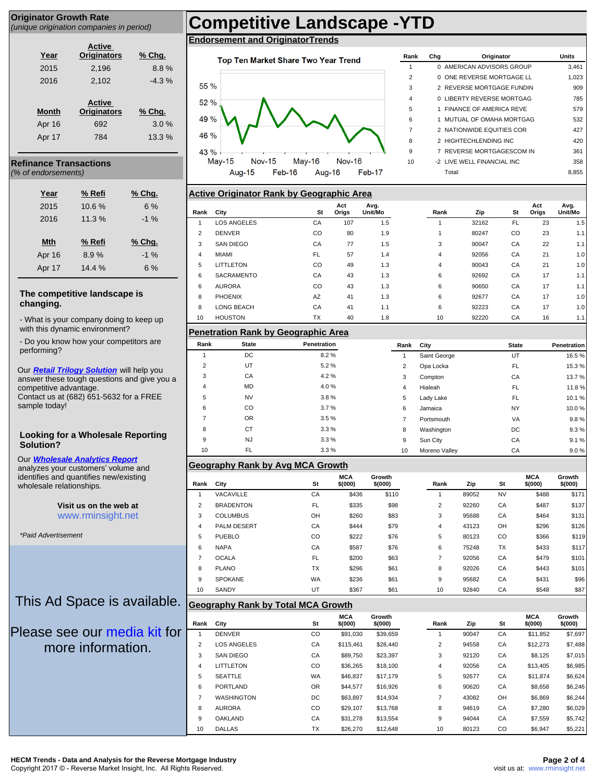#### (unique origination companies in period) **Originator Growth Rate**

**Year Active Originators % Chg.** 2015 2,196 8.8 % 2016 2,102 -4.3 % **Month Active Originators % Chg.** Apr 16 692 3.0 %

Apr 17 784 13.3 %

#### (% of endorsements) **Refinance Transactions**

| $\sigma$ or origonoomonic, |        |               |
|----------------------------|--------|---------------|
| Year                       | % Refi | <u>% Chq.</u> |
| 2015                       | 10.6%  | 6%            |
| 2016                       | 11.3%  | $-1\%$        |
|                            |        |               |
| Mth                        | % Refi | $%$ Chg.      |
| Apr 16                     | 8.9%   | $-1\%$        |
| Apr 17                     | 14.4%  | 6%            |
|                            |        |               |

# **The competitive landscape is changing.**

- What is your company doing to keep up with this dynamic environment?

- Do you know how your competitors are performing?

Our **[Retail Trilogy Solution](http://www.rminsight.net/trilogy.php)** will help you answer these tough questions and give you a competitive advantage. Contact us at (682) 651-5632 for a FREE sample today!

# **Looking for a Wholesale Reporting Solution?**

# Our **[Wholesale Analytics Report](http://rminsight.net/wholesalereport.php)**

analyzes your customers' volume and identifies and quantifies new/existing wholesale relationships.

> **Visit us on the web at** www.rminsight.net

\*Paid Advertisement

# Top Ten Market Share Two Year Trend



# **Active Originator Rank by Geographic Area**

| Rank | City               | St        | Act<br>Origs | Avg.<br>Unit/Mo | Rank | Zip   | St        | Act<br>Origs | Avg.<br>Unit/Mo |
|------|--------------------|-----------|--------------|-----------------|------|-------|-----------|--------------|-----------------|
|      | <b>LOS ANGELES</b> | CA        | 107          | 1.5             |      | 32162 | <b>FL</b> | 23           | 1.5             |
| 2    | <b>DENVER</b>      | CO        | 80           | 1.9             |      | 80247 | CO        | 23           | 1.1             |
| 3    | <b>SAN DIEGO</b>   | CA        | 77           | 1.5             | 3    | 90047 | CA        | 22           | 1.1             |
| 4    | <b>MIAMI</b>       | FL        | 57           | 1.4             | 4    | 92056 | CA        | 21           | 1.0             |
| 5    | <b>LITTLETON</b>   | CO        | 49           | 1.3             | 4    | 90043 | CA        | 21           | 1.0             |
| 6    | <b>SACRAMENTO</b>  | CA        | 43           | 1.3             | 6    | 92692 | CA        | 17           | 1.1             |
| 6    | <b>AURORA</b>      | CO        | 43           | 1.3             | 6    | 90650 | CA        | 17           | 1.1             |
| 8    | <b>PHOENIX</b>     | AZ        | 41           | 1.3             | 6    | 92677 | CA        | 17           | 1.0             |
| 8    | LONG BEACH         | CA        | 41           | 1.1             | 6    | 92223 | CA        | 17           | 1.0             |
| 10   | <b>HOUSTON</b>     | <b>TX</b> | 40           | 1.8             | 10   | 92220 | CA        | 16           | 1.1             |

**Rank Chg Originator Units** 1 0 AMERICAN ADVISORS GROUP 3.461 2 0 ONE REVERSE MORTGAGE LL 1,023 3 2 REVERSE MORTGAGE FUNDIN 909 4 0 LIBERTY REVERSE MORTGAG 785 5 1 FINANCE OF AMERICA REVE 579 6 1 MUTUAL OF OMAHA MORTGAG 532 7 2 NATIONWIDE EQUITIES COR 427 8 2 HIGHTECHLENDING INC 420 9 7 REVERSE MORTGAGESCOM IN 361 10 -2 LIVE WELL FINANCIAL INC 358

Total: 8,855

# **Penetration Rank by Geographic Area**

| Rank           | <b>State</b> | Penetration | Rank           | City          | <b>State</b> | Penetration |
|----------------|--------------|-------------|----------------|---------------|--------------|-------------|
| 1              | DC           | 8.2%        |                | Saint George  | UT           | 16.5%       |
| 2              | UT           | 5.2%        | 2              | Opa Locka     | <b>FL</b>    | 15.3%       |
| 3              | CA           | 4.2%        | 3              | Compton       | CA           | 13.7%       |
| $\overline{4}$ | <b>MD</b>    | 4.0%        | 4              | Hialeah       | <b>FL</b>    | 11.8%       |
| 5              | <b>NV</b>    | 3.8%        | 5              | Lady Lake     | <b>FL</b>    | 10.1%       |
| 6              | CO           | 3.7%        | 6              | Jamaica       | <b>NY</b>    | 10.0%       |
| 7              | <b>OR</b>    | 3.5%        | $\overline{7}$ | Portsmouth    | VA           | 9.8%        |
| 8              | <b>CT</b>    | 3.3%        | 8              | Washington    | DC           | 9.3%        |
| 9              | NJ           | 3.3%        | 9              | Sun City      | CA           | 9.1%        |
| 10             | FL           | 3.3%        | 10             | Moreno Valley | CA           | 9.0%        |

# **Geography Rank by Avg MCA Growth**

|                |                    |           | <b>MCA</b>  | Growth      |      |       |           | <b>MCA</b>  | Growth      |
|----------------|--------------------|-----------|-------------|-------------|------|-------|-----------|-------------|-------------|
| Rank           | City               | St        | $$^{(000)}$ | $$^{(000)}$ | Rank | Zip   | St        | $$^{(000)}$ | $$^{(000)}$ |
|                | VACAVILLE          | CA        | \$436       | \$110       |      | 89052 | <b>NV</b> | \$488       | \$171       |
| $\overline{2}$ | <b>BRADENTON</b>   | <b>FL</b> | \$335       | \$98        | 2    | 92260 | СA        | \$487       | \$137       |
| 3              | <b>COLUMBUS</b>    | OH        | \$260       | \$83        | 3    | 95688 | CA        | \$464       | \$131       |
| $\overline{4}$ | <b>PALM DESERT</b> | CA        | \$444       | \$79        | 4    | 43123 | OH        | \$296       | \$126       |
| 5              | <b>PUEBLO</b>      | CO        | \$222       | \$76        | 5    | 80123 | CO        | \$366       | \$119       |
| 6              | <b>NAPA</b>        | CA        | \$587       | \$76        | 6    | 75248 | <b>TX</b> | \$433       | \$117       |
| 7              | <b>OCALA</b>       | <b>FL</b> | \$200       | \$63        | 7    | 92056 | CA        | \$479       | \$101       |
| 8              | <b>PLANO</b>       | <b>TX</b> | \$296       | \$61        | 8    | 92026 | CA        | \$443       | \$101       |
| 9              | <b>SPOKANE</b>     | <b>WA</b> | \$236       | \$61        | 9    | 95682 | CA        | \$431       | \$96        |
| 10             | SANDY              | UT        | \$367       | \$61        | 10   | 92840 | CA        | \$548       | \$87        |

# **Geography Rank by Total MCA Growth**

| Rank | City              | St        | <b>MCA</b><br>\$(000) | Growth<br>$$^{(000)}$ | Rank           | Zip   | St | <b>MCA</b><br>$$^{(000)}$ | Growth<br>$$^{(000)}$ |
|------|-------------------|-----------|-----------------------|-----------------------|----------------|-------|----|---------------------------|-----------------------|
|      | <b>DENVER</b>     | CO        | \$91,030              | \$39,659              |                | 90047 | CA | \$11,852                  | \$7,697               |
| 2    | LOS ANGELES       | CA        | \$115,461             | \$28,440              | 2              | 94558 | CA | \$12,273                  | \$7,488               |
| 3    | <b>SAN DIEGO</b>  | CA        | \$89,750              | \$23,397              | 3              | 92120 | CA | \$8,125                   | \$7,015               |
| 4    | <b>LITTLETON</b>  | CO        | \$36,265              | \$18,100              | $\overline{4}$ | 92056 | CA | \$13,405                  | \$6,985               |
| 5    | <b>SEATTLE</b>    | <b>WA</b> | \$46.837              | \$17,179              | 5              | 92677 | CA | \$11.874                  | \$6,624               |
| 6    | <b>PORTLAND</b>   | <b>OR</b> | \$44,577              | \$16,926              | 6              | 90620 | CA | \$8,658                   | \$6,246               |
| 7    | <b>WASHINGTON</b> | DC        | \$63,897              | \$14,934              | 7              | 43082 | OH | \$6,869                   | \$6,244               |
| 8    | <b>AURORA</b>     | CO        | \$29,107              | \$13,768              | 8              | 94619 | CA | \$7,280                   | \$6,029               |
| 9    | <b>OAKLAND</b>    | CA        | \$31,278              | \$13.554              | 9              | 94044 | CA | \$7,559                   | \$5,742               |
| 10   | <b>DALLAS</b>     | <b>TX</b> | \$26,270              | \$12,648              | 10             | 80123 | CO | \$6,947                   | \$5,221               |

Please see our [media kit](http://www.rminsight.net/reverseiq-newsletter/hecm-mic-endorsement-reports/) for

This Ad Space is available.

# more information.

#### **Page 2 of 4** visit us at: www.rminsight.net

# **Competitive Landscape -YTD**

# **Endorsement and OriginatorTrends**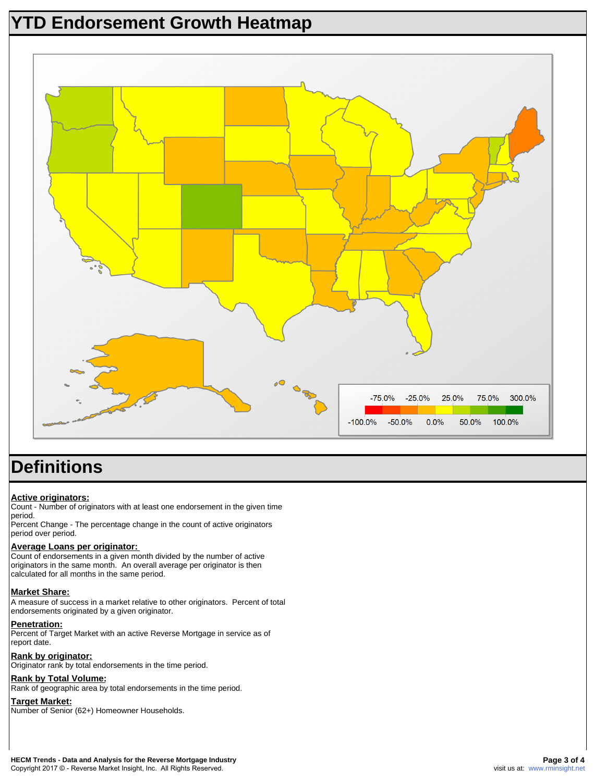# **YTD Endorsement Growth Heatmap**



# **Definitions**

## **Active originators:**

Count - Number of originators with at least one endorsement in the given time period.

Percent Change - The percentage change in the count of active originators period over period.

### **Average Loans per originator:**

Count of endorsements in a given month divided by the number of active originators in the same month. An overall average per originator is then calculated for all months in the same period.

## **Market Share:**

A measure of success in a market relative to other originators. Percent of total endorsements originated by a given originator.

### **Penetration:**

Percent of Target Market with an active Reverse Mortgage in service as of report date.

## **Rank by originator:**

Originator rank by total endorsements in the time period.

# **Rank by Total Volume:**

Rank of geographic area by total endorsements in the time period.

#### **Target Market:**

Number of Senior (62+) Homeowner Households.